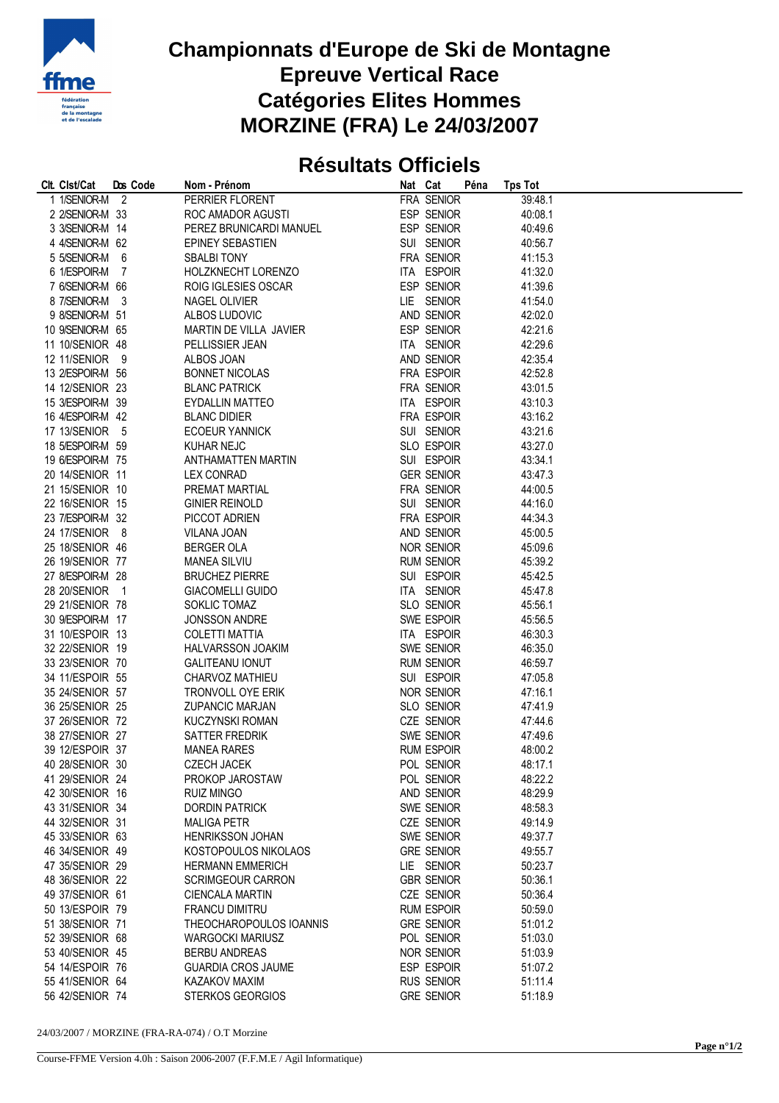

## **Championnats d'Europe de Ski de Montagne Epreuve Vertical Race Catégories Elites Hommes MORZINE (FRA) Le 24/03/2007**

# **Résultats Officiels**

| Clt. Clst/Cat    | Dos Code       | Nom - Prénom              | Nat Cat |                   | Péna | <b>Tps Tot</b> |  |
|------------------|----------------|---------------------------|---------|-------------------|------|----------------|--|
| 1 1/SENIOR-M 2   |                | PERRIER FLORENT           |         | FRA SENIOR        |      | 39:48.1        |  |
| 2 2/SENIOR-M 33  |                | ROC AMADOR AGUSTI         |         | ESP SENIOR        |      | 40:08.1        |  |
| 3 3/SENIOR-M 14  |                | PEREZ BRUNICARDI MANUEL   |         | ESP SENIOR        |      | 40:49.6        |  |
| 4 4/SENIOR-M 62  |                | EPINEY SEBASTIEN          |         | SUI SENIOR        |      | 40:56.7        |  |
| 5 5/SENIOR-M 6   |                | <b>SBALBI TONY</b>        |         | FRA SENIOR        |      | 41:15.3        |  |
| 6 1/ESPOIR-M     | - 7            | HOLZKNECHT LORENZO        |         | ITA ESPOIR        |      | 41:32.0        |  |
| 7 6/SENIOR-M 66  |                | ROIG IGLESIES OSCAR       |         | ESP SENIOR        |      | 41:39.6        |  |
| 8 7/SENIOR-M 3   |                | NAGEL OLIVIER             |         | LIE SENIOR        |      | 41:54.0        |  |
| 9 8/SENIOR-M 51  |                | ALBOS LUDOVIC             |         | AND SENIOR        |      | 42:02.0        |  |
| 10 9/SENIOR-M 65 |                | MARTIN DE VILLA JAVIER    |         | ESP SENIOR        |      | 42:21.6        |  |
| 11 10/SENIOR 48  |                | PELLISSIER JEAN           |         | ITA SENIOR        |      | 42:29.6        |  |
| 12 11/SENIOR 9   |                | ALBOS JOAN                |         | AND SENIOR        |      | 42:35.4        |  |
| 13 2/ESPOIR-M 56 |                | <b>BONNET NICOLAS</b>     |         | FRA ESPOIR        |      | 42:52.8        |  |
| 14 12/SENIOR 23  |                | <b>BLANC PATRICK</b>      |         | FRA SENIOR        |      | 43:01.5        |  |
| 15 3/ESPOIR-M 39 |                | EYDALLIN MATTEO           |         | ITA ESPOIR        |      | 43:10.3        |  |
| 16 4/ESPOIR-M 42 |                | <b>BLANC DIDIER</b>       |         | FRA ESPOIR        |      | 43:16.2        |  |
| 17 13/SENIOR 5   |                | <b>ECOEUR YANNICK</b>     |         | SUI SENIOR        |      | 43:21.6        |  |
| 18 5/ESPOIR-M 59 |                | <b>KUHAR NEJC</b>         |         | SLO ESPOIR        |      | 43:27.0        |  |
| 19 6/ESPOIR-M 75 |                | ANTHAMATTEN MARTIN        |         | SUI ESPOIR        |      | 43:34.1        |  |
| 20 14/SENIOR 11  |                | <b>LEX CONRAD</b>         |         | <b>GER SENIOR</b> |      | 43:47.3        |  |
| 21 15/SENIOR 10  |                | PREMAT MARTIAL            |         | FRA SENIOR        |      | 44:00.5        |  |
| 22 16/SENIOR 15  |                | <b>GINIER REINOLD</b>     |         | SUI SENIOR        |      | 44:16.0        |  |
| 23 7/ESPOIR-M 32 |                | PICCOT ADRIEN             |         | FRA ESPOIR        |      | 44:34.3        |  |
| 24 17/SENIOR 8   |                | VILANA JOAN               |         | AND SENIOR        |      | 45:00.5        |  |
| 25 18/SENIOR 46  |                | <b>BERGER OLA</b>         |         | <b>NOR SENIOR</b> |      | 45:09.6        |  |
| 26 19/SENIOR 77  |                | <b>MANEA SILVIU</b>       |         | <b>RUM SENIOR</b> |      | 45:39.2        |  |
| 27 8/ESPOIR-M 28 |                | <b>BRUCHEZ PIERRE</b>     |         | SUI ESPOIR        |      | 45:42.5        |  |
| 28 20/SENIOR     | $\overline{1}$ | <b>GIACOMELLI GUIDO</b>   |         | ITA SENIOR        |      | 45:47.8        |  |
| 29 21/SENIOR 78  |                | SOKLIC TOMAZ              |         | SLO SENIOR        |      | 45:56.1        |  |
| 30 9/ESPOIR-M 17 |                | <b>JONSSON ANDRE</b>      |         | SWE ESPOIR        |      | 45:56.5        |  |
| 31 10/ESPOIR 13  |                | <b>COLETTI MATTIA</b>     |         | ITA ESPOIR        |      | 46:30.3        |  |
| 32 22/SENIOR 19  |                | HALVARSSON JOAKIM         |         | SWE SENIOR        |      | 46:35.0        |  |
| 33 23/SENIOR 70  |                | <b>GALITEANU IONUT</b>    |         | <b>RUM SENIOR</b> |      | 46:59.7        |  |
| 34 11/ESPOIR 55  |                | CHARVOZ MATHIEU           |         | SUI ESPOIR        |      | 47:05.8        |  |
| 35 24/SENIOR 57  |                | TRONVOLL OYE ERIK         |         | <b>NOR SENIOR</b> |      | 47:16.1        |  |
| 36 25/SENIOR 25  |                | ZUPANCIC MARJAN           |         | SLO SENIOR        |      | 47:41.9        |  |
| 37 26/SENIOR 72  |                | KUCZYNSKI ROMAN           |         | CZE SENIOR        |      | 47:44.6        |  |
| 38 27/SENIOR 27  |                | SATTER FREDRIK            |         | <b>SWE SENIOR</b> |      | 47:49.6        |  |
| 39 12/ESPOIR 37  |                | <b>MANEA RARES</b>        |         | <b>RUM ESPOIR</b> |      | 48:00.2        |  |
| 40 28/SENIOR 30  |                | <b>CZECH JACEK</b>        |         | POL SENIOR        |      | 48:17.1        |  |
| 41 29/SENIOR 24  |                | PROKOP JAROSTAW           |         | POL SENIOR        |      | 48:22.2        |  |
| 42 30/SENIOR 16  |                | <b>RUIZ MINGO</b>         |         | AND SENIOR        |      | 48:29.9        |  |
| 43 31/SENIOR 34  |                | <b>DORDIN PATRICK</b>     |         | SWE SENIOR        |      | 48:58.3        |  |
| 44 32/SENIOR 31  |                | <b>MALIGA PETR</b>        |         | CZE SENIOR        |      | 49:14.9        |  |
| 45 33/SENIOR 63  |                | <b>HENRIKSSON JOHAN</b>   |         | SWE SENIOR        |      | 49:37.7        |  |
| 46 34/SENIOR 49  |                | KOSTOPOULOS NIKOLAOS      |         | <b>GRE SENIOR</b> |      | 49:55.7        |  |
| 47 35/SENIOR 29  |                | <b>HERMANN EMMERICH</b>   |         | LIE SENIOR        |      | 50:23.7        |  |
| 48 36/SENIOR 22  |                | <b>SCRIMGEOUR CARRON</b>  |         | <b>GBR SENIOR</b> |      | 50:36.1        |  |
| 49 37/SENIOR 61  |                | <b>CIENCALA MARTIN</b>    |         | CZE SENIOR        |      | 50:36.4        |  |
| 50 13/ESPOIR 79  |                | <b>FRANCU DIMITRU</b>     |         | <b>RUM ESPOIR</b> |      | 50:59.0        |  |
| 51 38/SENIOR 71  |                | THEOCHAROPOULOS IOANNIS   |         | <b>GRE SENIOR</b> |      | 51:01.2        |  |
| 52 39/SENIOR 68  |                | WARGOCKI MARIUSZ          |         | POL SENIOR        |      | 51:03.0        |  |
| 53 40/SENIOR 45  |                | <b>BERBU ANDREAS</b>      |         | <b>NOR SENIOR</b> |      | 51:03.9        |  |
| 54 14/ESPOIR 76  |                | <b>GUARDIA CROS JAUME</b> |         | ESP ESPOIR        |      | 51:07.2        |  |
| 55 41/SENIOR 64  |                | KAZAKOV MAXIM             |         | <b>RUS SENIOR</b> |      | 51:11.4        |  |
| 56 42/SENIOR 74  |                | STERKOS GEORGIOS          |         | <b>GRE SENIOR</b> |      | 51:18.9        |  |

24/03/2007 / MORZINE (FRA-RA-074) / O.T Morzine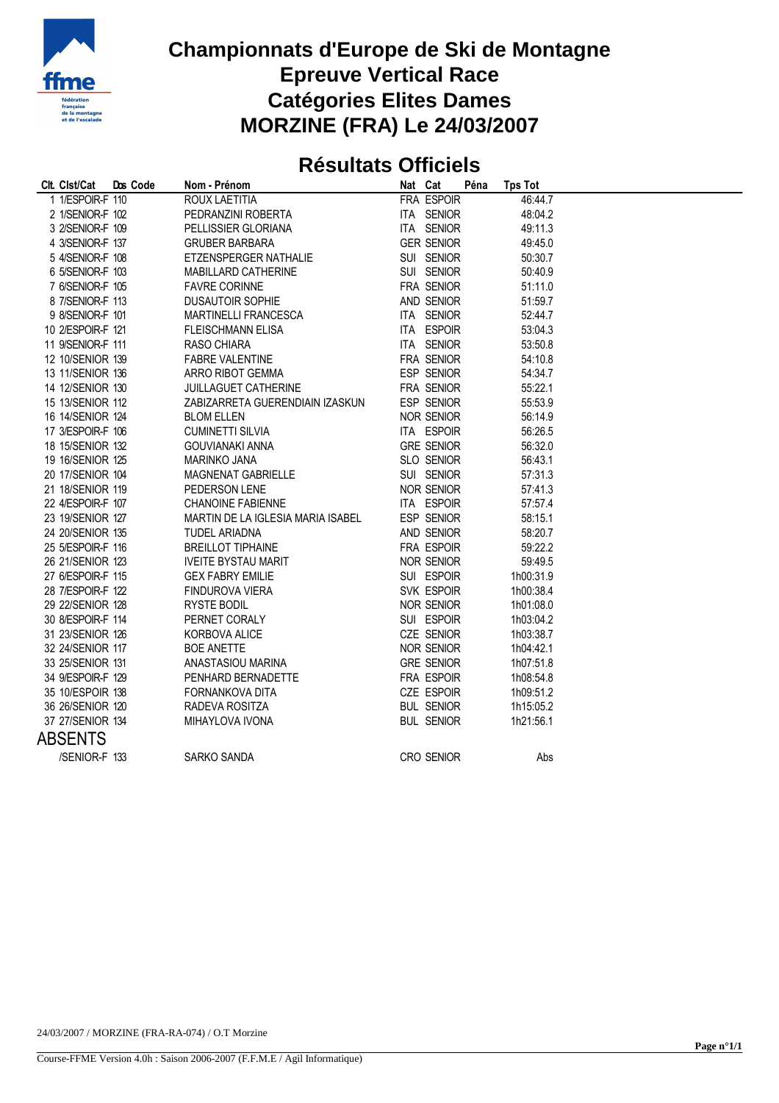

### **Championnats d'Europe de Ski de Montagne Epreuve Vertical Race Catégories Elites Dames MORZINE (FRA) Le 24/03/2007**

#### **Résultats Officiels**

| Dos Code | Nom - Prénom                                                                                                                                                                                                                                                                                                                                                                                                                                                                                                                                                                                                                                                                                                                                                                               |                                       | Péna                                       | <b>Tps Tot</b>                                                                                                                                                                                                                                                                                                                                                                                                                                                                                                                                                                                    |                                          |
|----------|--------------------------------------------------------------------------------------------------------------------------------------------------------------------------------------------------------------------------------------------------------------------------------------------------------------------------------------------------------------------------------------------------------------------------------------------------------------------------------------------------------------------------------------------------------------------------------------------------------------------------------------------------------------------------------------------------------------------------------------------------------------------------------------------|---------------------------------------|--------------------------------------------|---------------------------------------------------------------------------------------------------------------------------------------------------------------------------------------------------------------------------------------------------------------------------------------------------------------------------------------------------------------------------------------------------------------------------------------------------------------------------------------------------------------------------------------------------------------------------------------------------|------------------------------------------|
|          | ROUX LAETITIA                                                                                                                                                                                                                                                                                                                                                                                                                                                                                                                                                                                                                                                                                                                                                                              |                                       |                                            | 46:44.7                                                                                                                                                                                                                                                                                                                                                                                                                                                                                                                                                                                           |                                          |
|          | PEDRANZINI ROBERTA                                                                                                                                                                                                                                                                                                                                                                                                                                                                                                                                                                                                                                                                                                                                                                         |                                       |                                            | 48:04.2                                                                                                                                                                                                                                                                                                                                                                                                                                                                                                                                                                                           |                                          |
|          | PELLISSIER GLORIANA                                                                                                                                                                                                                                                                                                                                                                                                                                                                                                                                                                                                                                                                                                                                                                        |                                       |                                            | 49:11.3                                                                                                                                                                                                                                                                                                                                                                                                                                                                                                                                                                                           |                                          |
|          | <b>GRUBER BARBARA</b>                                                                                                                                                                                                                                                                                                                                                                                                                                                                                                                                                                                                                                                                                                                                                                      |                                       |                                            | 49:45.0                                                                                                                                                                                                                                                                                                                                                                                                                                                                                                                                                                                           |                                          |
|          | ETZENSPERGER NATHALIE                                                                                                                                                                                                                                                                                                                                                                                                                                                                                                                                                                                                                                                                                                                                                                      |                                       |                                            | 50:30.7                                                                                                                                                                                                                                                                                                                                                                                                                                                                                                                                                                                           |                                          |
|          | MABILLARD CATHERINE                                                                                                                                                                                                                                                                                                                                                                                                                                                                                                                                                                                                                                                                                                                                                                        |                                       |                                            | 50:40.9                                                                                                                                                                                                                                                                                                                                                                                                                                                                                                                                                                                           |                                          |
|          | <b>FAVRE CORINNE</b>                                                                                                                                                                                                                                                                                                                                                                                                                                                                                                                                                                                                                                                                                                                                                                       |                                       |                                            | 51:11.0                                                                                                                                                                                                                                                                                                                                                                                                                                                                                                                                                                                           |                                          |
|          | <b>DUSAUTOIR SOPHIE</b>                                                                                                                                                                                                                                                                                                                                                                                                                                                                                                                                                                                                                                                                                                                                                                    |                                       |                                            | 51:59.7                                                                                                                                                                                                                                                                                                                                                                                                                                                                                                                                                                                           |                                          |
|          | MARTINELLI FRANCESCA                                                                                                                                                                                                                                                                                                                                                                                                                                                                                                                                                                                                                                                                                                                                                                       |                                       |                                            | 52:44.7                                                                                                                                                                                                                                                                                                                                                                                                                                                                                                                                                                                           |                                          |
|          | <b>FLEISCHMANN ELISA</b>                                                                                                                                                                                                                                                                                                                                                                                                                                                                                                                                                                                                                                                                                                                                                                   |                                       |                                            | 53:04.3                                                                                                                                                                                                                                                                                                                                                                                                                                                                                                                                                                                           |                                          |
|          |                                                                                                                                                                                                                                                                                                                                                                                                                                                                                                                                                                                                                                                                                                                                                                                            |                                       |                                            |                                                                                                                                                                                                                                                                                                                                                                                                                                                                                                                                                                                                   |                                          |
|          | <b>FABRE VALENTINE</b>                                                                                                                                                                                                                                                                                                                                                                                                                                                                                                                                                                                                                                                                                                                                                                     |                                       |                                            |                                                                                                                                                                                                                                                                                                                                                                                                                                                                                                                                                                                                   |                                          |
|          | ARRO RIBOT GEMMA                                                                                                                                                                                                                                                                                                                                                                                                                                                                                                                                                                                                                                                                                                                                                                           |                                       |                                            | 54:34.7                                                                                                                                                                                                                                                                                                                                                                                                                                                                                                                                                                                           |                                          |
|          | JUILLAGUET CATHERINE                                                                                                                                                                                                                                                                                                                                                                                                                                                                                                                                                                                                                                                                                                                                                                       |                                       |                                            | 55:22.1                                                                                                                                                                                                                                                                                                                                                                                                                                                                                                                                                                                           |                                          |
|          | ZABIZARRETA GUERENDIAIN IZASKUN                                                                                                                                                                                                                                                                                                                                                                                                                                                                                                                                                                                                                                                                                                                                                            |                                       |                                            | 55:53.9                                                                                                                                                                                                                                                                                                                                                                                                                                                                                                                                                                                           |                                          |
|          | <b>BLOM ELLEN</b>                                                                                                                                                                                                                                                                                                                                                                                                                                                                                                                                                                                                                                                                                                                                                                          |                                       |                                            | 56:14.9                                                                                                                                                                                                                                                                                                                                                                                                                                                                                                                                                                                           |                                          |
|          | <b>CUMINETTI SILVIA</b>                                                                                                                                                                                                                                                                                                                                                                                                                                                                                                                                                                                                                                                                                                                                                                    |                                       |                                            | 56:26.5                                                                                                                                                                                                                                                                                                                                                                                                                                                                                                                                                                                           |                                          |
|          |                                                                                                                                                                                                                                                                                                                                                                                                                                                                                                                                                                                                                                                                                                                                                                                            |                                       |                                            | 56:32.0                                                                                                                                                                                                                                                                                                                                                                                                                                                                                                                                                                                           |                                          |
|          | <b>MARINKO JANA</b>                                                                                                                                                                                                                                                                                                                                                                                                                                                                                                                                                                                                                                                                                                                                                                        |                                       |                                            | 56:43.1                                                                                                                                                                                                                                                                                                                                                                                                                                                                                                                                                                                           |                                          |
|          | <b>MAGNENAT GABRIELLE</b>                                                                                                                                                                                                                                                                                                                                                                                                                                                                                                                                                                                                                                                                                                                                                                  |                                       |                                            | 57:31.3                                                                                                                                                                                                                                                                                                                                                                                                                                                                                                                                                                                           |                                          |
|          | PEDERSON LENE                                                                                                                                                                                                                                                                                                                                                                                                                                                                                                                                                                                                                                                                                                                                                                              |                                       |                                            | 57:41.3                                                                                                                                                                                                                                                                                                                                                                                                                                                                                                                                                                                           |                                          |
|          | <b>CHANOINE FABIENNE</b>                                                                                                                                                                                                                                                                                                                                                                                                                                                                                                                                                                                                                                                                                                                                                                   |                                       |                                            | 57:57.4                                                                                                                                                                                                                                                                                                                                                                                                                                                                                                                                                                                           |                                          |
|          | MARTIN DE LA IGLESIA MARIA ISABEL                                                                                                                                                                                                                                                                                                                                                                                                                                                                                                                                                                                                                                                                                                                                                          |                                       |                                            | 58:15.1                                                                                                                                                                                                                                                                                                                                                                                                                                                                                                                                                                                           |                                          |
|          | <b>TUDEL ARIADNA</b>                                                                                                                                                                                                                                                                                                                                                                                                                                                                                                                                                                                                                                                                                                                                                                       |                                       |                                            |                                                                                                                                                                                                                                                                                                                                                                                                                                                                                                                                                                                                   |                                          |
|          | <b>BREILLOT TIPHAINE</b>                                                                                                                                                                                                                                                                                                                                                                                                                                                                                                                                                                                                                                                                                                                                                                   |                                       |                                            | 59:22.2                                                                                                                                                                                                                                                                                                                                                                                                                                                                                                                                                                                           |                                          |
|          | <b>IVEITE BYSTAU MARIT</b>                                                                                                                                                                                                                                                                                                                                                                                                                                                                                                                                                                                                                                                                                                                                                                 |                                       |                                            |                                                                                                                                                                                                                                                                                                                                                                                                                                                                                                                                                                                                   |                                          |
|          | <b>GEX FABRY EMILIE</b>                                                                                                                                                                                                                                                                                                                                                                                                                                                                                                                                                                                                                                                                                                                                                                    |                                       |                                            | 1h00:31.9                                                                                                                                                                                                                                                                                                                                                                                                                                                                                                                                                                                         |                                          |
|          | FINDUROVA VIERA                                                                                                                                                                                                                                                                                                                                                                                                                                                                                                                                                                                                                                                                                                                                                                            |                                       |                                            | 1h00:38.4                                                                                                                                                                                                                                                                                                                                                                                                                                                                                                                                                                                         |                                          |
|          | RYSTE BODIL                                                                                                                                                                                                                                                                                                                                                                                                                                                                                                                                                                                                                                                                                                                                                                                |                                       |                                            | 1h01:08.0                                                                                                                                                                                                                                                                                                                                                                                                                                                                                                                                                                                         |                                          |
|          | PERNET CORALY                                                                                                                                                                                                                                                                                                                                                                                                                                                                                                                                                                                                                                                                                                                                                                              |                                       |                                            | 1h03:04.2                                                                                                                                                                                                                                                                                                                                                                                                                                                                                                                                                                                         |                                          |
|          | KORBOVA ALICE                                                                                                                                                                                                                                                                                                                                                                                                                                                                                                                                                                                                                                                                                                                                                                              |                                       |                                            | 1h03:38.7                                                                                                                                                                                                                                                                                                                                                                                                                                                                                                                                                                                         |                                          |
|          | <b>BOE ANETTE</b>                                                                                                                                                                                                                                                                                                                                                                                                                                                                                                                                                                                                                                                                                                                                                                          |                                       |                                            | 1h04:42.1                                                                                                                                                                                                                                                                                                                                                                                                                                                                                                                                                                                         |                                          |
|          | ANASTASIOU MARINA                                                                                                                                                                                                                                                                                                                                                                                                                                                                                                                                                                                                                                                                                                                                                                          |                                       |                                            | 1h07:51.8                                                                                                                                                                                                                                                                                                                                                                                                                                                                                                                                                                                         |                                          |
|          | PENHARD BERNADETTE                                                                                                                                                                                                                                                                                                                                                                                                                                                                                                                                                                                                                                                                                                                                                                         |                                       |                                            | 1h08:54.8                                                                                                                                                                                                                                                                                                                                                                                                                                                                                                                                                                                         |                                          |
|          | FORNANKOVA DITA                                                                                                                                                                                                                                                                                                                                                                                                                                                                                                                                                                                                                                                                                                                                                                            |                                       |                                            | 1h09:51.2                                                                                                                                                                                                                                                                                                                                                                                                                                                                                                                                                                                         |                                          |
|          | RADEVA ROSITZA                                                                                                                                                                                                                                                                                                                                                                                                                                                                                                                                                                                                                                                                                                                                                                             |                                       |                                            | 1h15:05.2                                                                                                                                                                                                                                                                                                                                                                                                                                                                                                                                                                                         |                                          |
|          | MIHAYLOVA IVONA                                                                                                                                                                                                                                                                                                                                                                                                                                                                                                                                                                                                                                                                                                                                                                            |                                       |                                            | 1h21:56.1                                                                                                                                                                                                                                                                                                                                                                                                                                                                                                                                                                                         |                                          |
|          |                                                                                                                                                                                                                                                                                                                                                                                                                                                                                                                                                                                                                                                                                                                                                                                            |                                       |                                            |                                                                                                                                                                                                                                                                                                                                                                                                                                                                                                                                                                                                   |                                          |
|          | <b>SARKO SANDA</b>                                                                                                                                                                                                                                                                                                                                                                                                                                                                                                                                                                                                                                                                                                                                                                         |                                       |                                            | Abs                                                                                                                                                                                                                                                                                                                                                                                                                                                                                                                                                                                               |                                          |
|          | 1 1/ESPOIR-F 110<br>2 1/SENIOR-F 102<br>3 2/SENIOR-F 109<br>4 3/SENIOR-F 137<br>5 4/SENIOR-F 108<br>6 5/SENIOR-F 103<br>7 6/SENIOR-F 105<br>8 7/SENIOR-F 113<br>9 8/SENIOR-F 101<br>10 2/ESPOIR-F 121<br>11 9/SENIOR-F 111<br>12 10/SENIOR 139<br>13 11/SENIOR 136<br>14 12/SENIOR 130<br>15 13/SENIOR 112<br>16 14/SENIOR 124<br>17 3/ESPOIR-F 106<br>18 15/SENIOR 132<br>19 16/SENIOR 125<br>20 17/SENIOR 104<br>21 18/SENIOR 119<br>22 4/ESPOIR-F 107<br>23 19/SENIOR 127<br>24 20/SENIOR 135<br>25 5/ESPOIR-F 116<br>26 21/SENIOR 123<br>27 6/ESPOIR-F 115<br>28 7/ESPOIR-F 122<br>29 22/SENIOR 128<br>30 8/ESPOIR-F 114<br>31 23/SENIOR 126<br>32 24/SENIOR 117<br>33 25/SENIOR 131<br>34 9/ESPOIR-F 129<br>35 10/ESPOIR 138<br>36 26/SENIOR 120<br>37 27/SENIOR 134<br>/SENIOR-F 133 | RASO CHIARA<br><b>GOUVIANAKI ANNA</b> | Nat Cat<br>FRA ESPOIR<br><b>CRO SENIOR</b> | ITA SENIOR<br>ITA SENIOR<br><b>GER SENIOR</b><br>SUI SENIOR<br>SUI SENIOR<br>FRA SENIOR<br>AND SENIOR<br>ITA SENIOR<br>ITA ESPOIR<br>ITA SENIOR<br>FRA SENIOR<br>ESP SENIOR<br>FRA SENIOR<br><b>ESP SENIOR</b><br><b>NOR SENIOR</b><br>ITA ESPOIR<br><b>GRE SENIOR</b><br>SLO SENIOR<br>SUI SENIOR<br><b>NOR SENIOR</b><br>ITA ESPOIR<br>ESP SENIOR<br>AND SENIOR<br>FRA ESPOIR<br>NOR SENIOR<br>SUI ESPOIR<br>SVK ESPOIR<br><b>NOR SENIOR</b><br>SUI ESPOIR<br>CZE SENIOR<br><b>NOR SENIOR</b><br><b>GRE SENIOR</b><br>FRA ESPOIR<br><b>CZE ESPOIR</b><br><b>BUL SENIOR</b><br><b>BUL SENIOR</b> | 53:50.8<br>54:10.8<br>58:20.7<br>59:49.5 |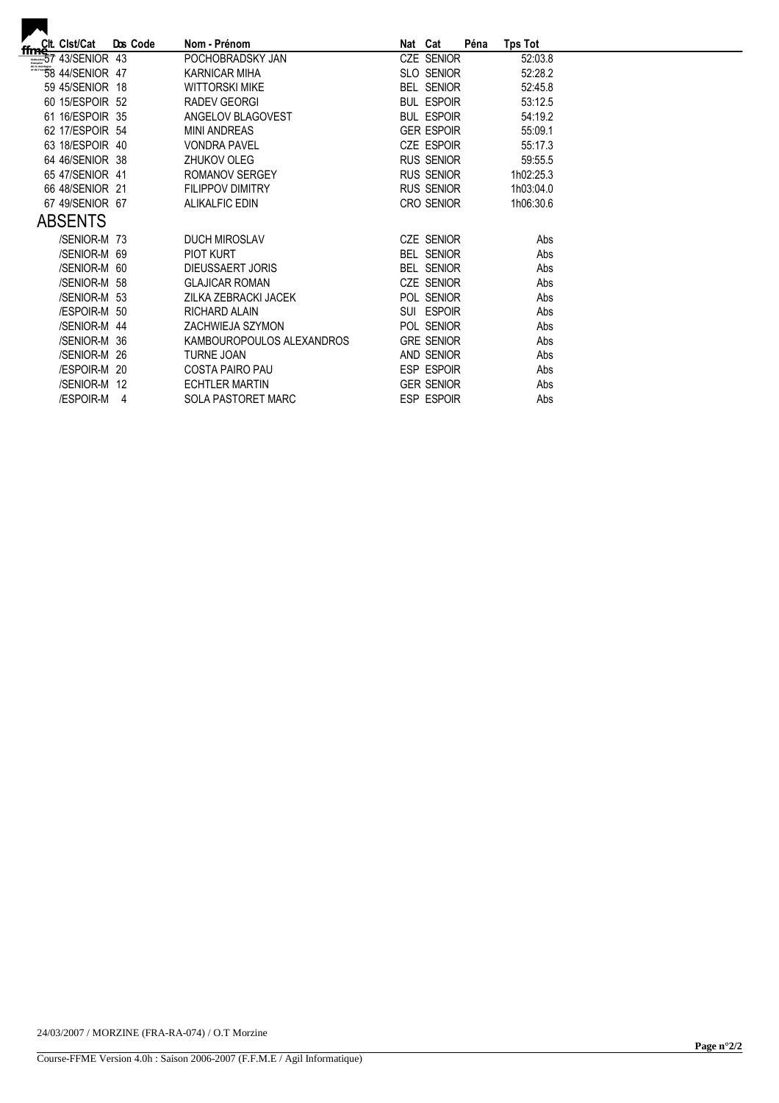| ffmelt. Cist/Cat              |                | Dos Code | Nom - Prénom              | Nat Cat |                   | Péna | <b>Tps Tot</b> |  |
|-------------------------------|----------------|----------|---------------------------|---------|-------------------|------|----------------|--|
| $\frac{1}{2}$ 57 43/SENIOR 43 |                |          | POCHOBRADSKY JAN          |         | CZE SENIOR        |      | 52:03.8        |  |
| <b>58 44/SENIOR 47</b>        |                |          | <b>KARNICAR MIHA</b>      |         | SLO SENIOR        |      | 52:28.2        |  |
| 59 45/SENIOR 18               |                |          | <b>WITTORSKI MIKE</b>     |         | <b>BEL SENIOR</b> |      | 52:45.8        |  |
| 60 15/ESPOIR 52               |                |          | RADEV GEORGI              |         | <b>BUL ESPOIR</b> |      | 53:12.5        |  |
| 61 16/ESPOIR 35               |                |          | ANGELOV BLAGOVEST         |         | <b>BUL ESPOIR</b> |      | 54:19.2        |  |
| 62 17/ESPOIR 54               |                |          | <b>MINI ANDREAS</b>       |         | <b>GER ESPOIR</b> |      | 55:09.1        |  |
| 63 18/ESPOIR 40               |                |          | <b>VONDRA PAVEL</b>       |         | <b>CZE ESPOIR</b> |      | 55:17.3        |  |
| 64 46/SENIOR 38               |                |          | ZHUKOV OLEG               |         | <b>RUS SENIOR</b> |      | 59:55.5        |  |
| 65 47/SENIOR 41               |                |          | ROMANOV SERGEY            |         | <b>RUS SENIOR</b> |      | 1h02:25.3      |  |
| 66 48/SENIOR 21               |                |          | <b>FILIPPOV DIMITRY</b>   |         | <b>RUS SENIOR</b> |      | 1h03:04.0      |  |
| 67 49/SENIOR 67               |                |          | <b>ALIKALFIC EDIN</b>     |         | CRO SENIOR        |      | 1h06:30.6      |  |
| <b>ABSENTS</b>                |                |          |                           |         |                   |      |                |  |
| /SENIOR-M 73                  |                |          | <b>DUCH MIROSLAV</b>      |         | CZE SENIOR        |      | Abs            |  |
| /SENIOR-M 69                  |                |          | <b>PIOT KURT</b>          |         | <b>BEL SENIOR</b> |      | Abs            |  |
| /SENIOR-M 60                  |                |          | DIEUSSAERT JORIS          |         | <b>BEL SENIOR</b> |      | Abs            |  |
| /SENIOR-M 58                  |                |          | <b>GLAJICAR ROMAN</b>     |         | CZE SENIOR        |      | Abs            |  |
| /SENIOR-M 53                  |                |          | ZILKA ZEBRACKI JACEK      |         | POL SENIOR        |      | Abs            |  |
| /ESPOIR-M 50                  |                |          | <b>RICHARD ALAIN</b>      |         | SUI ESPOIR        |      | Abs            |  |
| /SENIOR-M 44                  |                |          | ZACHWIEJA SZYMON          |         | POL SENIOR        |      | Abs            |  |
| /SENIOR-M 36                  |                |          | KAMBOUROPOULOS ALEXANDROS |         | <b>GRE SENIOR</b> |      | Abs            |  |
| /SENIOR-M 26                  |                |          | <b>TURNE JOAN</b>         |         | AND SENIOR        |      | Abs            |  |
| /ESPOIR-M 20                  |                |          | <b>COSTA PAIRO PAU</b>    |         | ESP ESPOIR        |      | Abs            |  |
| /SENIOR-M 12                  |                |          | <b>ECHTLER MARTIN</b>     |         | <b>GER SENIOR</b> |      | Abs            |  |
| /ESPOIR-M                     | $\overline{4}$ |          | <b>SOLA PASTORET MARC</b> |         | <b>ESP ESPOIR</b> |      | Abs            |  |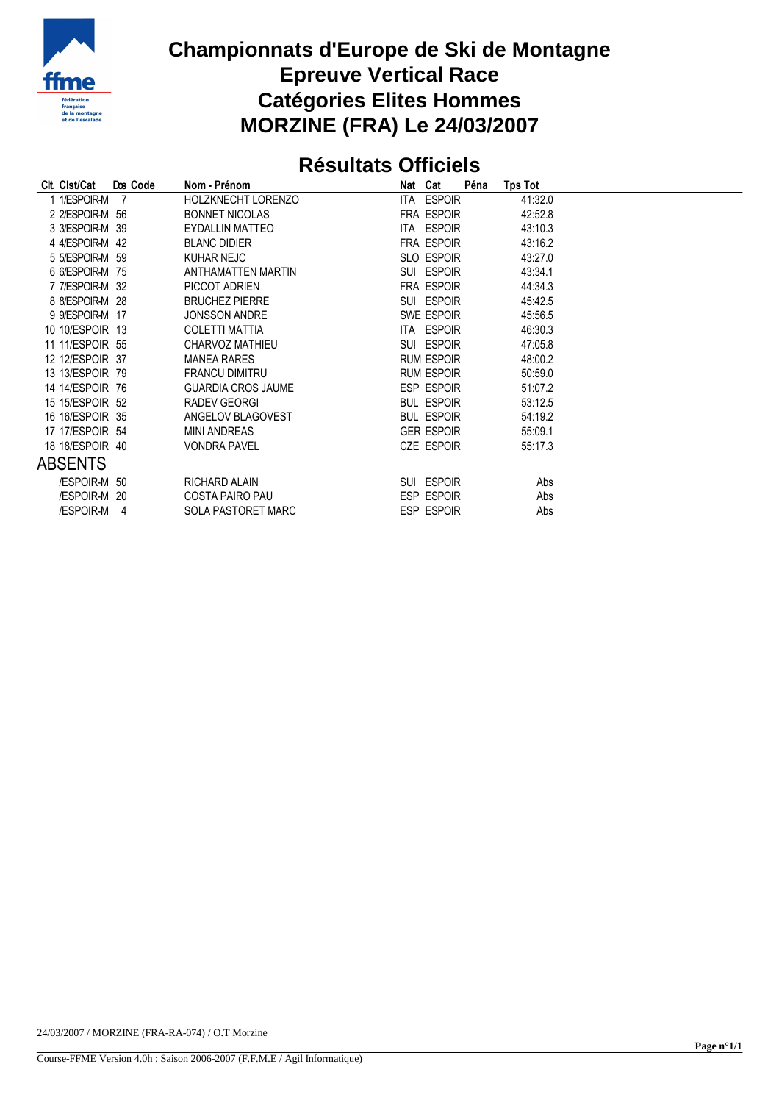

## **Championnats d'Europe de Ski de Montagne Epreuve Vertical Race Catégories Elites Hommes MORZINE (FRA) Le 24/03/2007**

#### **Résultats Officiels**

| Clt. Clst/Cat   | Dos Code | Nom - Prénom              | Nat Cat |                   | Péna | Tps Tot |  |
|-----------------|----------|---------------------------|---------|-------------------|------|---------|--|
| 1/ESPOIR-M      |          | HOLZKNECHT LORENZO        | ITA     | <b>ESPOIR</b>     |      | 41:32.0 |  |
| 2 2/ESPOIR-M 56 |          | <b>BONNET NICOLAS</b>     |         | <b>FRA ESPOIR</b> |      | 42:52.8 |  |
| 3 3/ESPOIR-M 39 |          | EYDALLIN MATTEO           | ITA.    | <b>ESPOIR</b>     |      | 43:10.3 |  |
| 4 4/ESPOIR-M 42 |          | <b>BLANC DIDIER</b>       |         | <b>FRA ESPOIR</b> |      | 43:16.2 |  |
| 5 5/ESPOIR-M 59 |          | KUHAR NEJC                |         | <b>SLO ESPOIR</b> |      | 43:27.0 |  |
| 6 6/ESPOIR-M 75 |          | ANTHAMATTEN MARTIN        |         | SUI ESPOIR        |      | 43:34.1 |  |
| 7 7/ESPOIR-M 32 |          | PICCOT ADRIEN             |         | <b>FRA ESPOIR</b> |      | 44:34.3 |  |
| 8 8/ESPOIR-M 28 |          | <b>BRUCHEZ PIERRE</b>     |         | SUI ESPOIR        |      | 45:42.5 |  |
| 9 9/ESPOIR-M 17 |          | <b>JONSSON ANDRE</b>      |         | SWE ESPOIR        |      | 45:56.5 |  |
| 10 10/ESPOIR 13 |          | <b>COLETTI MATTIA</b>     |         | ITA ESPOIR        |      | 46:30.3 |  |
| 11 11/ESPOIR 55 |          | CHARVOZ MATHIEU           |         | SUI ESPOIR        |      | 47:05.8 |  |
| 12 12/ESPOIR 37 |          | <b>MANEA RARES</b>        |         | <b>RUM ESPOIR</b> |      | 48:00.2 |  |
| 13 13/ESPOIR 79 |          | <b>FRANCU DIMITRU</b>     |         | <b>RUM ESPOIR</b> |      | 50:59.0 |  |
| 14 14/ESPOIR 76 |          | <b>GUARDIA CROS JAUME</b> |         | <b>ESP ESPOIR</b> |      | 51:07.2 |  |
| 15 15/ESPOIR 52 |          | RADEV GEORGI              |         | <b>BUL ESPOIR</b> |      | 53:12.5 |  |
| 16 16/ESPOIR 35 |          | ANGELOV BLAGOVEST         |         | <b>BUL ESPOIR</b> |      | 54:19.2 |  |
| 17 17/ESPOIR 54 |          | MINI ANDREAS              |         | <b>GER ESPOIR</b> |      | 55:09.1 |  |
| 18 18/ESPOIR 40 |          | <b>VONDRA PAVEL</b>       |         | <b>CZE ESPOIR</b> |      | 55:17.3 |  |
| <b>ABSENTS</b>  |          |                           |         |                   |      |         |  |
| /ESPOIR-M 50    |          | <b>RICHARD ALAIN</b>      |         | SUI ESPOIR        |      | Abs     |  |
| /ESPOIR-M 20    |          | COSTA PAIRO PAU           |         | <b>ESP ESPOIR</b> |      | Abs     |  |
| /ESPOIR-M       | 4        | <b>SOLA PASTORET MARC</b> |         | <b>ESP ESPOIR</b> |      | Abs     |  |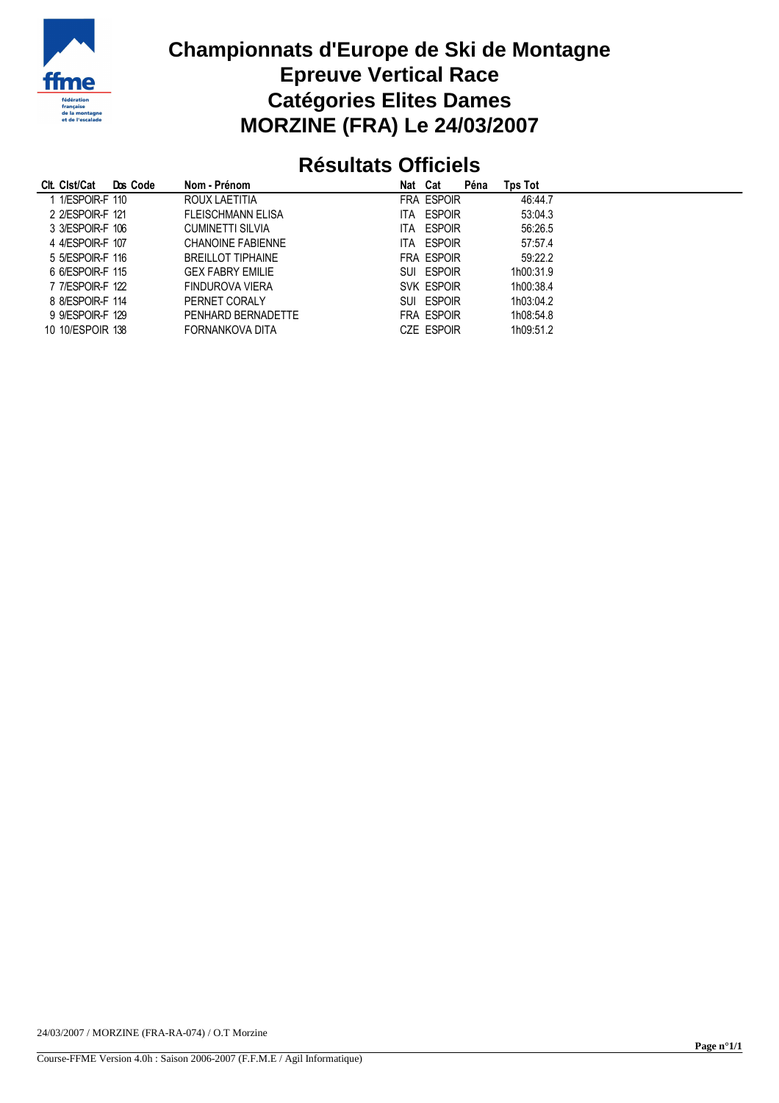

## **Championnats d'Europe de Ski de Montagne Epreuve Vertical Race Catégories Elites Dames MORZINE (FRA) Le 24/03/2007**

## **Résultats Officiels**

| Clt. Clst/Cat    | Dos Code | Nom - Prénom             | Nat Cat |                   | Péna | Tps Tot   |
|------------------|----------|--------------------------|---------|-------------------|------|-----------|
| 1 1/ESPOIR-F 110 |          | ROUX LAETITIA            |         | FRA ESPOIR        |      | 46:44.7   |
| 2 2/ESPOIR-F 121 |          | <b>FLEISCHMANN ELISA</b> |         | ITA ESPOIR        |      | 53:04.3   |
| 3 3/ESPOIR-F 106 |          | <b>CUMINETTI SILVIA</b>  |         | ITA ESPOIR        |      | 56:26.5   |
| 4 4/ESPOIR-F 107 |          | <b>CHANOINE FABIENNE</b> |         | ITA ESPOIR        |      | 57:57.4   |
| 5 5/ESPOIR-F 116 |          | <b>BREILLOT TIPHAINE</b> |         | FRA ESPOIR        |      | 59:22.2   |
| 6 6/ESPOIR-F 115 |          | <b>GEX FABRY EMILIE</b>  |         | SUI ESPOIR        |      | 1h00:31.9 |
| 7 7/ESPOIR-F 122 |          | FINDUROVA VIERA          |         | SVK ESPOIR        |      | 1h00:38.4 |
| 8 8/ESPOIR-F 114 |          | PERNET CORALY            |         | SUI ESPOIR        |      | 1h03:04.2 |
| 9 9/ESPOIR-F 129 |          | PENHARD BERNADETTE       |         | FRA ESPOIR        |      | 1h08:54.8 |
| 10 10/ESPOIR 138 |          | FORNANKOVA DITA          |         | <b>CZE ESPOIR</b> |      | 1h09:51.2 |
|                  |          |                          |         |                   |      |           |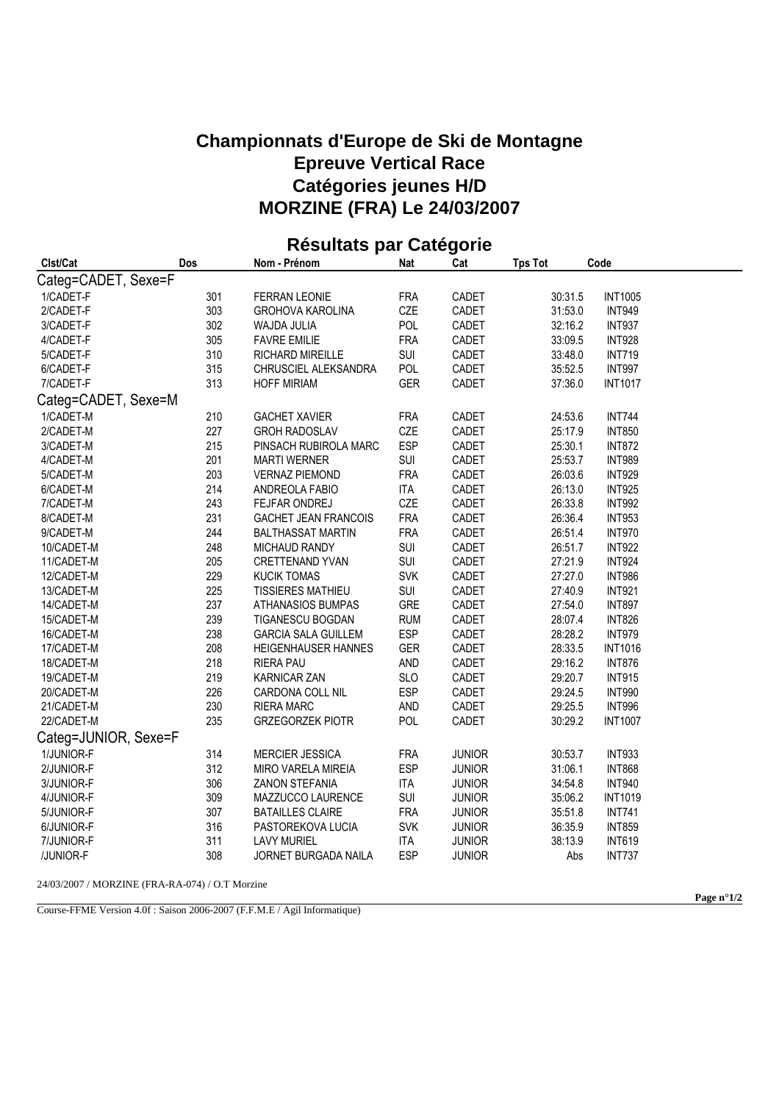#### **Championnats d'Europe de Ski de Montagne Epreuve Vertical Race Catégories jeunes H/D MORZINE (FRA) Le 24/03/2007**

|                      |     |                             |            | э             |                |                |
|----------------------|-----|-----------------------------|------------|---------------|----------------|----------------|
| Clst/Cat             | Dos | Nom - Prénom                | <b>Nat</b> | Cat           | <b>Tps Tot</b> | Code           |
| Categ=CADET, Sexe=F  |     |                             |            |               |                |                |
| 1/CADET-F            | 301 | <b>FERRAN LEONIE</b>        | <b>FRA</b> | CADET         | 30:31.5        | <b>INT1005</b> |
| 2/CADET-F            | 303 | <b>GROHOVA KAROLINA</b>     | CZE        | CADET         | 31:53.0        | <b>INT949</b>  |
| 3/CADET-F            | 302 | WAJDA JULIA                 | <b>POL</b> | CADET         | 32:16.2        | <b>INT937</b>  |
| 4/CADET-F            | 305 | <b>FAVRE EMILIE</b>         | <b>FRA</b> | CADET         | 33:09.5        | <b>INT928</b>  |
| 5/CADET-F            | 310 | RICHARD MIREILLE            | SUI        | CADET         | 33:48.0        | <b>INT719</b>  |
| 6/CADET-F            | 315 | CHRUSCIEL ALEKSANDRA        | POL        | CADET         | 35:52.5        | <b>INT997</b>  |
| 7/CADET-F            | 313 | <b>HOFF MIRIAM</b>          | <b>GER</b> | CADET         | 37:36.0        | <b>INT1017</b> |
| Categ=CADET, Sexe=M  |     |                             |            |               |                |                |
| 1/CADET-M            | 210 | <b>GACHET XAVIER</b>        | <b>FRA</b> | CADET         | 24:53.6        | <b>INT744</b>  |
| 2/CADET-M            | 227 | <b>GROH RADOSLAV</b>        | CZE        | CADET         | 25:17.9        | <b>INT850</b>  |
| 3/CADET-M            | 215 | PINSACH RUBIROLA MARC       | <b>ESP</b> | CADET         | 25:30.1        | <b>INT872</b>  |
| 4/CADET-M            | 201 | <b>MARTI WERNER</b>         | SUI        | CADET         | 25:53.7        | <b>INT989</b>  |
| 5/CADET-M            | 203 | <b>VERNAZ PIEMOND</b>       | <b>FRA</b> | CADET         | 26:03.6        | <b>INT929</b>  |
| 6/CADET-M            | 214 | ANDREOLA FABIO              | <b>ITA</b> | CADET         | 26:13.0        | <b>INT925</b>  |
| 7/CADET-M            | 243 | FEJFAR ONDREJ               | CZE        | CADET         | 26:33.8        | <b>INT992</b>  |
| 8/CADET-M            | 231 | <b>GACHET JEAN FRANCOIS</b> | <b>FRA</b> | <b>CADET</b>  | 26:36.4        | <b>INT953</b>  |
| 9/CADET-M            | 244 | <b>BALTHASSAT MARTIN</b>    | <b>FRA</b> | CADET         | 26:51.4        | <b>INT970</b>  |
| 10/CADET-M           | 248 | MICHAUD RANDY               | SUI        | CADET         | 26:51.7        | <b>INT922</b>  |
| 11/CADET-M           | 205 | CRETTENAND YVAN             | SUI        | CADET         | 27:21.9        | <b>INT924</b>  |
| 12/CADET-M           | 229 | <b>KUCIK TOMAS</b>          | <b>SVK</b> | CADET         | 27:27.0        | <b>INT986</b>  |
| 13/CADET-M           | 225 | <b>TISSIERES MATHIEU</b>    | <b>SUI</b> | CADET         | 27:40.9        | <b>INT921</b>  |
| 14/CADET-M           | 237 | ATHANASIOS BUMPAS           | <b>GRE</b> | CADET         | 27:54.0        | <b>INT897</b>  |
| 15/CADET-M           | 239 | TIGANESCU BOGDAN            | <b>RUM</b> | CADET         | 28:07.4        | <b>INT826</b>  |
| 16/CADET-M           | 238 | <b>GARCIA SALA GUILLEM</b>  | <b>ESP</b> | CADET         | 28:28.2        | <b>INT979</b>  |
| 17/CADET-M           | 208 | HEIGENHAUSER HANNES         | <b>GER</b> | CADET         | 28:33.5        | <b>INT1016</b> |
| 18/CADET-M           | 218 | RIERA PAU                   | AND        | CADET         | 29:16.2        | <b>INT876</b>  |
| 19/CADET-M           | 219 | <b>KARNICAR ZAN</b>         | <b>SLO</b> | CADET         | 29:20.7        | <b>INT915</b>  |
| 20/CADET-M           | 226 | CARDONA COLL NIL            | <b>ESP</b> | CADET         | 29:24.5        | <b>INT990</b>  |
| 21/CADET-M           | 230 | RIERA MARC                  | <b>AND</b> | CADET         | 29:25.5        | <b>INT996</b>  |
| 22/CADET-M           | 235 | <b>GRZEGORZEK PIOTR</b>     | <b>POL</b> | CADET         | 30:29.2        | <b>INT1007</b> |
| Categ=JUNIOR, Sexe=F |     |                             |            |               |                |                |
| 1/JUNIOR-F           | 314 | MERCIER JESSICA             | <b>FRA</b> | <b>JUNIOR</b> | 30:53.7        | <b>INT933</b>  |
| 2/JUNIOR-F           | 312 | MIRO VARELA MIREIA          | <b>ESP</b> | <b>JUNIOR</b> | 31:06.1        | <b>INT868</b>  |
| 3/JUNIOR-F           | 306 | <b>ZANON STEFANIA</b>       | <b>ITA</b> | <b>JUNIOR</b> | 34:54.8        | <b>INT940</b>  |
| 4/JUNIOR-F           | 309 | MAZZUCCO LAURENCE           | SUI        | <b>JUNIOR</b> | 35:06.2        | <b>INT1019</b> |
| 5/JUNIOR-F           | 307 | <b>BATAILLES CLAIRE</b>     | <b>FRA</b> | <b>JUNIOR</b> | 35:51.8        | <b>INT741</b>  |
| 6/JUNIOR-F           | 316 | PASTOREKOVA LUCIA           | <b>SVK</b> | <b>JUNIOR</b> | 36:35.9        | <b>INT859</b>  |
| 7/JUNIOR-F           | 311 | <b>LAVY MURIEL</b>          | <b>ITA</b> | <b>JUNIOR</b> | 38:13.9        | <b>INT619</b>  |
| /JUNIOR-F            | 308 | JORNET BURGADA NAILA        | <b>ESP</b> | <b>JUNIOR</b> | Abs            | <b>INT737</b>  |
|                      |     |                             |            |               |                |                |

#### **Résultats par Catégorie**

24/03/2007 / MORZINE (FRA-RA-074) / O.T Morzine

Course-FFME Version 4.0f : Saison 2006-2007 (F.F.M.E / Agil Informatique)